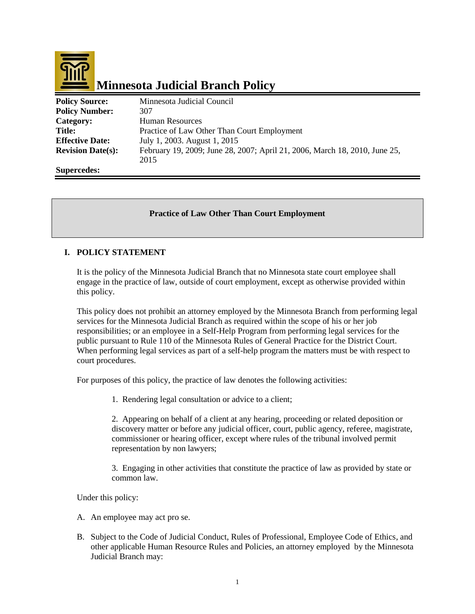

| <b>Policy Source:</b>    | Minnesota Judicial Council                                                 |
|--------------------------|----------------------------------------------------------------------------|
| <b>Policy Number:</b>    | 307                                                                        |
| Category:                | <b>Human Resources</b>                                                     |
| <b>Title:</b>            | Practice of Law Other Than Court Employment                                |
| <b>Effective Date:</b>   | July 1, 2003. August 1, 2015                                               |
| <b>Revision Date(s):</b> | February 19, 2009; June 28, 2007; April 21, 2006, March 18, 2010, June 25, |
|                          | 2015                                                                       |
| <b>Supercedes:</b>       |                                                                            |

# **Practice of Law Other Than Court Employment**

#### **I. POLICY STATEMENT**

It is the policy of the Minnesota Judicial Branch that no Minnesota state court employee shall engage in the practice of law, outside of court employment, except as otherwise provided within this policy.

This policy does not prohibit an attorney employed by the Minnesota Branch from performing legal services for the Minnesota Judicial Branch as required within the scope of his or her job responsibilities; or an employee in a Self-Help Program from performing legal services for the public pursuant to Rule 110 of the Minnesota Rules of General Practice for the District Court. When performing legal services as part of a self-help program the matters must be with respect to court procedures.

For purposes of this policy, the practice of law denotes the following activities:

1. Rendering legal consultation or advice to a client;

2. Appearing on behalf of a client at any hearing, proceeding or related deposition or discovery matter or before any judicial officer, court, public agency, referee, magistrate, commissioner or hearing officer, except where rules of the tribunal involved permit representation by non lawyers;

3. Engaging in other activities that constitute the practice of law as provided by state or common law.

Under this policy:

- A. An employee may act pro se.
- B. Subject to the Code of Judicial Conduct, Rules of Professional, Employee Code of Ethics, and other applicable Human Resource Rules and Policies, an attorney employed by the Minnesota Judicial Branch may: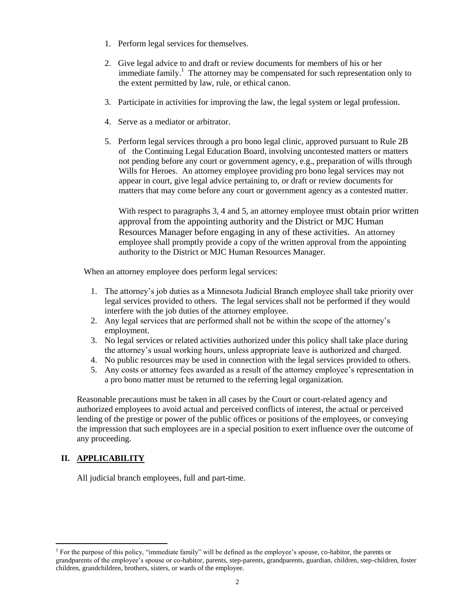- 1. Perform legal services for themselves.
- 2. Give legal advice to and draft or review documents for members of his or her immediate family.<sup>1</sup> The attorney may be compensated for such representation only to the extent permitted by law, rule, or ethical canon.
- 3. Participate in activities for improving the law, the legal system or legal profession.
- 4. Serve as a mediator or arbitrator.
- 5. Perform legal services through a pro bono legal clinic, approved pursuant to Rule 2B of the Continuing Legal Education Board, involving uncontested matters or matters not pending before any court or government agency, e.g., preparation of wills through Wills for Heroes. An attorney employee providing pro bono legal services may not appear in court, give legal advice pertaining to, or draft or review documents for matters that may come before any court or government agency as a contested matter.

With respect to paragraphs 3, 4 and 5, an attorney employee must obtain prior written approval from the appointing authority and the District or MJC Human Resources Manager before engaging in any of these activities. An attorney employee shall promptly provide a copy of the written approval from the appointing authority to the District or MJC Human Resources Manager.

When an attorney employee does perform legal services:

- 1. The attorney's job duties as a Minnesota Judicial Branch employee shall take priority over legal services provided to others. The legal services shall not be performed if they would interfere with the job duties of the attorney employee.
- 2. Any legal services that are performed shall not be within the scope of the attorney's employment.
- 3. No legal services or related activities authorized under this policy shall take place during the attorney's usual working hours, unless appropriate leave is authorized and charged.
- 4. No public resources may be used in connection with the legal services provided to others.
- 5. Any costs or attorney fees awarded as a result of the attorney employee's representation in a pro bono matter must be returned to the referring legal organization.

Reasonable precautions must be taken in all cases by the Court or court-related agency and authorized employees to avoid actual and perceived conflicts of interest, the actual or perceived lending of the prestige or power of the public offices or positions of the employees, or conveying the impression that such employees are in a special position to exert influence over the outcome of any proceeding.

### **II. APPLICABILITY**

 $\overline{a}$ 

All judicial branch employees, full and part-time.

<sup>&</sup>lt;sup>1</sup> For the purpose of this policy, "immediate family" will be defined as the employee's spouse, co-habitor, the parents or grandparents of the employee's spouse or co-habitor, parents, step-parents, grandparents, guardian, children, step-children, foster children, grandchildren, brothers, sisters, or wards of the employee.